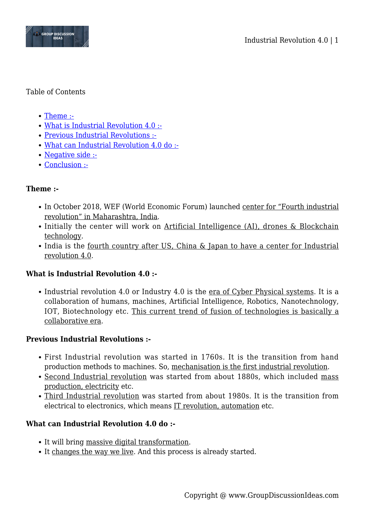

#### Table of Contents

- [Theme :-](#page--1-0)
- [What is Industrial Revolution 4.0 :-](#page--1-0)
- [Previous Industrial Revolutions :-](#page--1-0)
- [What can Industrial Revolution 4.0 do :-](#page--1-0)
- [Negative side :-](#page--1-0)
- [Conclusion :-](#page--1-0)

## **Theme :-**

- In October 2018, WEF (World Economic Forum) launched center for "Fourth industrial revolution" in Maharashtra, India.
- Initially the center will work on Artificial Intelligence (AI), drones & Blockchain technology.
- India is the fourth country after US, China & Japan to have a center for Industrial revolution 4.0.

## **What is Industrial Revolution 4.0 :-**

• Industrial revolution 4.0 or Industry 4.0 is the era of Cyber Physical systems. It is a collaboration of humans, machines, Artificial Intelligence, Robotics, Nanotechnology, IOT, Biotechnology etc. This current trend of fusion of technologies is basically a collaborative era.

#### **Previous Industrial Revolutions :-**

- First Industrial revolution was started in 1760s. It is the transition from hand production methods to machines. So, mechanisation is the first industrial revolution.
- Second Industrial revolution was started from about 1880s, which included mass production, electricity etc.
- Third Industrial revolution was started from about 1980s. It is the transition from electrical to electronics, which means IT revolution, automation etc.

## **What can Industrial Revolution 4.0 do :-**

- It will bring massive digital transformation.
- It changes the way we live. And this process is already started.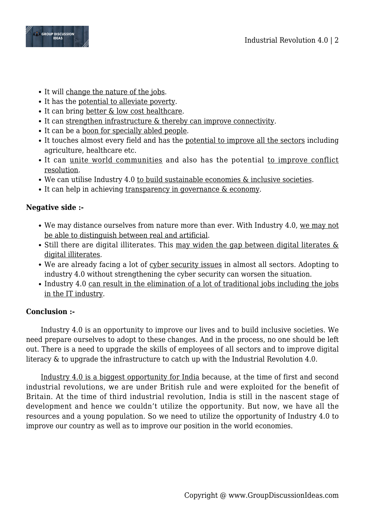

- It will change the nature of the jobs.
- It has the potential to alleviate poverty.
- It can bring better & low cost healthcare.
- It can strengthen infrastructure & thereby can improve connectivity.
- It can be a boon for specially abled people.
- It touches almost every field and has the potential to improve all the sectors including agriculture, healthcare etc.
- It can unite world communities and also has the potential to improve conflict resolution.
- We can utilise Industry 4.0 to build sustainable economies & inclusive societies.
- It can help in achieving transparency in governance & economy.

# **Negative side :-**

- We may distance ourselves from nature more than ever. With Industry 4.0, we may not be able to distinguish between real and artificial.
- $\bullet$  Still there are digital illiterates. This may widen the gap between digital literates  $\&$ digital illiterates.
- We are already facing a lot of cyber security issues in almost all sectors. Adopting to industry 4.0 without strengthening the cyber security can worsen the situation.
- Industry 4.0 can result in the elimination of a lot of traditional jobs including the jobs in the IT industry.

# **Conclusion :-**

Industry 4.0 is an opportunity to improve our lives and to build inclusive societies. We need prepare ourselves to adopt to these changes. And in the process, no one should be left out. There is a need to upgrade the skills of employees of all sectors and to improve digital literacy & to upgrade the infrastructure to catch up with the Industrial Revolution 4.0.

Industry 4.0 is a biggest opportunity for India because, at the time of first and second industrial revolutions, we are under British rule and were exploited for the benefit of Britain. At the time of third industrial revolution, India is still in the nascent stage of development and hence we couldn't utilize the opportunity. But now, we have all the resources and a young population. So we need to utilize the opportunity of Industry 4.0 to improve our country as well as to improve our position in the world economies.